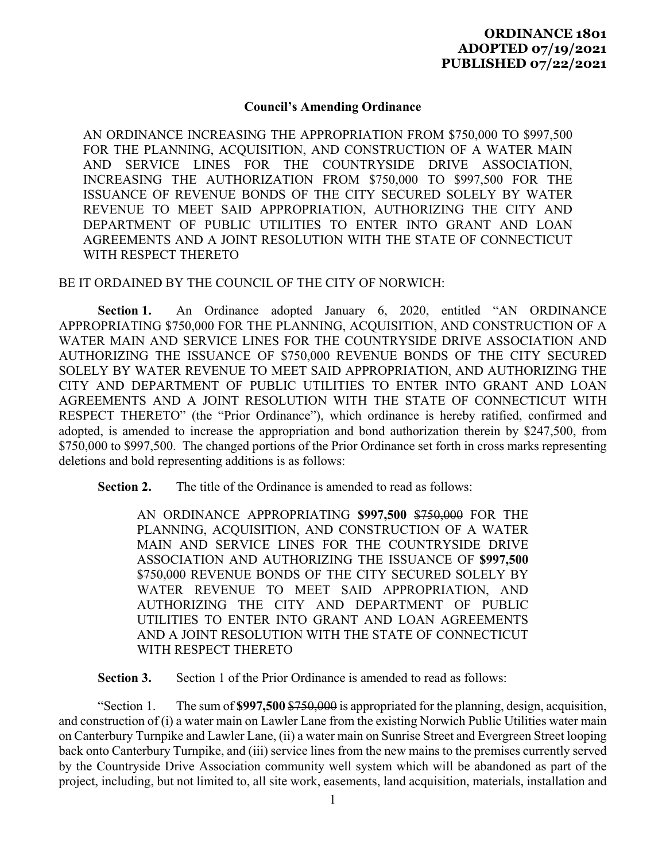## **Council's Amending Ordinance**

AN ORDINANCE INCREASING THE APPROPRIATION FROM \$750,000 TO \$997,500 FOR THE PLANNING, ACQUISITION, AND CONSTRUCTION OF A WATER MAIN AND SERVICE LINES FOR THE COUNTRYSIDE DRIVE ASSOCIATION, INCREASING THE AUTHORIZATION FROM \$750,000 TO \$997,500 FOR THE ISSUANCE OF REVENUE BONDS OF THE CITY SECURED SOLELY BY WATER REVENUE TO MEET SAID APPROPRIATION, AUTHORIZING THE CITY AND DEPARTMENT OF PUBLIC UTILITIES TO ENTER INTO GRANT AND LOAN AGREEMENTS AND A JOINT RESOLUTION WITH THE STATE OF CONNECTICUT WITH RESPECT THERETO

BE IT ORDAINED BY THE COUNCIL OF THE CITY OF NORWICH:

Section 1. An Ordinance adopted January 6, 2020, entitled "AN ORDINANCE APPROPRIATING \$750,000 FOR THE PLANNING, ACQUISITION, AND CONSTRUCTION OF A WATER MAIN AND SERVICE LINES FOR THE COUNTRYSIDE DRIVE ASSOCIATION AND AUTHORIZING THE ISSUANCE OF \$750,000 REVENUE BONDS OF THE CITY SECURED SOLELY BY WATER REVENUE TO MEET SAID APPROPRIATION, AND AUTHORIZING THE CITY AND DEPARTMENT OF PUBLIC UTILITIES TO ENTER INTO GRANT AND LOAN AGREEMENTS AND A JOINT RESOLUTION WITH THE STATE OF CONNECTICUT WITH RESPECT THERETO" (the "Prior Ordinance"), which ordinance is hereby ratified, confirmed and adopted, is amended to increase the appropriation and bond authorization therein by \$247,500, from \$750,000 to \$997,500. The changed portions of the Prior Ordinance set forth in cross marks representing deletions and bold representing additions is as follows:

 **Section 2.** The title of the Ordinance is amended to read as follows:

AN ORDINANCE APPROPRIATING **\$997,500** \$750,000 FOR THE PLANNING, ACQUISITION, AND CONSTRUCTION OF A WATER MAIN AND SERVICE LINES FOR THE COUNTRYSIDE DRIVE ASSOCIATION AND AUTHORIZING THE ISSUANCE OF **\$997,500** \$750,000 REVENUE BONDS OF THE CITY SECURED SOLELY BY WATER REVENUE TO MEET SAID APPROPRIATION, AND AUTHORIZING THE CITY AND DEPARTMENT OF PUBLIC UTILITIES TO ENTER INTO GRANT AND LOAN AGREEMENTS AND A JOINT RESOLUTION WITH THE STATE OF CONNECTICUT WITH RESPECT THERETO

**Section 3.** Section 1 of the Prior Ordinance is amended to read as follows:

"Section 1. The sum of **\$997,500** \$750,000 is appropriated for the planning, design, acquisition, and construction of (i) a water main on Lawler Lane from the existing Norwich Public Utilities water main on Canterbury Turnpike and Lawler Lane, (ii) a water main on Sunrise Street and Evergreen Street looping back onto Canterbury Turnpike, and (iii) service lines from the new mains to the premises currently served by the Countryside Drive Association community well system which will be abandoned as part of the project, including, but not limited to, all site work, easements, land acquisition, materials, installation and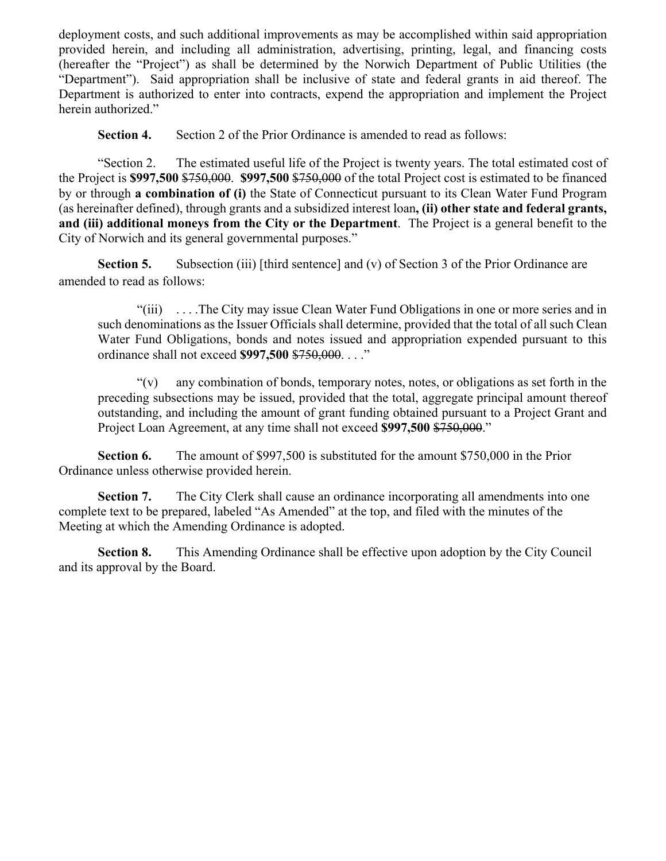deployment costs, and such additional improvements as may be accomplished within said appropriation provided herein, and including all administration, advertising, printing, legal, and financing costs (hereafter the "Project") as shall be determined by the Norwich Department of Public Utilities (the "Department"). Said appropriation shall be inclusive of state and federal grants in aid thereof. The Department is authorized to enter into contracts, expend the appropriation and implement the Project herein authorized."

**Section 4.** Section 2 of the Prior Ordinance is amended to read as follows:

"Section 2. The estimated useful life of the Project is twenty years. The total estimated cost of the Project is **\$997,500** \$750,000. **\$997,500** \$750,000 of the total Project cost is estimated to be financed by or through **a combination of (i)** the State of Connecticut pursuant to its Clean Water Fund Program (as hereinafter defined), through grants and a subsidized interest loan**, (ii) other state and federal grants, and (iii) additional moneys from the City or the Department**. The Project is a general benefit to the City of Norwich and its general governmental purposes."

**Section 5.** Subsection (iii) [third sentence] and (v) of Section 3 of the Prior Ordinance are amended to read as follows:

"(iii) . . . .The City may issue Clean Water Fund Obligations in one or more series and in such denominations as the Issuer Officials shall determine, provided that the total of all such Clean Water Fund Obligations, bonds and notes issued and appropriation expended pursuant to this ordinance shall not exceed **\$997,500** \$750,000. . . ."

 $\gamma(v)$  any combination of bonds, temporary notes, notes, or obligations as set forth in the preceding subsections may be issued, provided that the total, aggregate principal amount thereof outstanding, and including the amount of grant funding obtained pursuant to a Project Grant and Project Loan Agreement, at any time shall not exceed \$997,500 \$750,000."

 **Section 6.** The amount of \$997,500 is substituted for the amount \$750,000 in the Prior Ordinance unless otherwise provided herein.

**Section 7.** The City Clerk shall cause an ordinance incorporating all amendments into one complete text to be prepared, labeled "As Amended" at the top, and filed with the minutes of the Meeting at which the Amending Ordinance is adopted.

 **Section 8.** This Amending Ordinance shall be effective upon adoption by the City Council and its approval by the Board.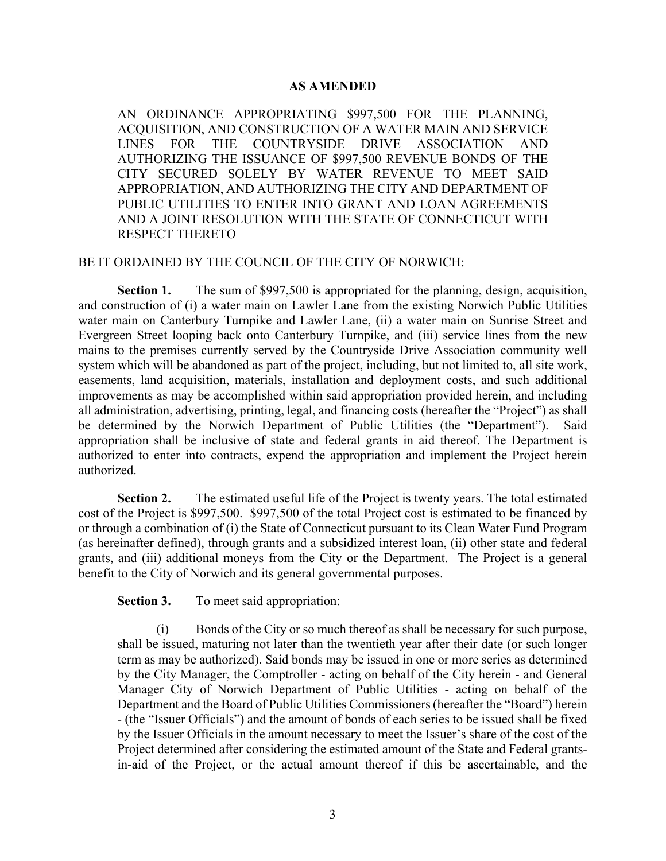## **AS AMENDED**

AN ORDINANCE APPROPRIATING \$997,500 FOR THE PLANNING, ACQUISITION, AND CONSTRUCTION OF A WATER MAIN AND SERVICE LINES FOR THE COUNTRYSIDE DRIVE ASSOCIATION AND AUTHORIZING THE ISSUANCE OF \$997,500 REVENUE BONDS OF THE CITY SECURED SOLELY BY WATER REVENUE TO MEET SAID APPROPRIATION, AND AUTHORIZING THE CITY AND DEPARTMENT OF PUBLIC UTILITIES TO ENTER INTO GRANT AND LOAN AGREEMENTS AND A JOINT RESOLUTION WITH THE STATE OF CONNECTICUT WITH RESPECT THERETO

## BE IT ORDAINED BY THE COUNCIL OF THE CITY OF NORWICH:

**Section 1.** The sum of \$997,500 is appropriated for the planning, design, acquisition, and construction of (i) a water main on Lawler Lane from the existing Norwich Public Utilities water main on Canterbury Turnpike and Lawler Lane, (ii) a water main on Sunrise Street and Evergreen Street looping back onto Canterbury Turnpike, and (iii) service lines from the new mains to the premises currently served by the Countryside Drive Association community well system which will be abandoned as part of the project, including, but not limited to, all site work, easements, land acquisition, materials, installation and deployment costs, and such additional improvements as may be accomplished within said appropriation provided herein, and including all administration, advertising, printing, legal, and financing costs (hereafter the "Project") as shall be determined by the Norwich Department of Public Utilities (the "Department"). Said appropriation shall be inclusive of state and federal grants in aid thereof. The Department is authorized to enter into contracts, expend the appropriation and implement the Project herein authorized.

**Section 2.** The estimated useful life of the Project is twenty years. The total estimated cost of the Project is \$997,500. \$997,500 of the total Project cost is estimated to be financed by or through a combination of (i) the State of Connecticut pursuant to its Clean Water Fund Program (as hereinafter defined), through grants and a subsidized interest loan, (ii) other state and federal grants, and (iii) additional moneys from the City or the Department. The Project is a general benefit to the City of Norwich and its general governmental purposes.

**Section 3.** To meet said appropriation:

(i) Bonds of the City or so much thereof as shall be necessary for such purpose, shall be issued, maturing not later than the twentieth year after their date (or such longer term as may be authorized). Said bonds may be issued in one or more series as determined by the City Manager, the Comptroller - acting on behalf of the City herein - and General Manager City of Norwich Department of Public Utilities - acting on behalf of the Department and the Board of Public Utilities Commissioners (hereafter the "Board") herein - (the "Issuer Officials") and the amount of bonds of each series to be issued shall be fixed by the Issuer Officials in the amount necessary to meet the Issuer's share of the cost of the Project determined after considering the estimated amount of the State and Federal grantsin-aid of the Project, or the actual amount thereof if this be ascertainable, and the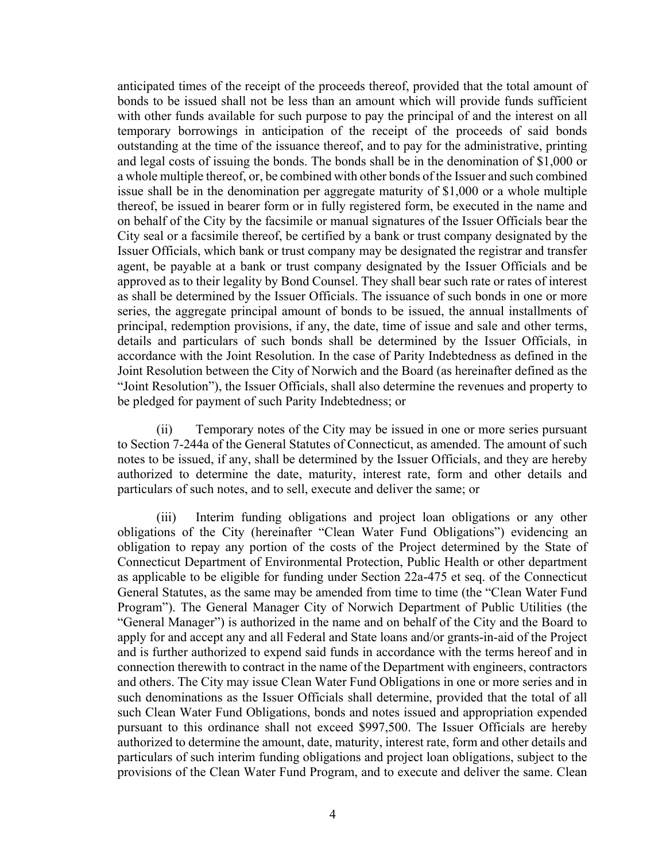anticipated times of the receipt of the proceeds thereof, provided that the total amount of bonds to be issued shall not be less than an amount which will provide funds sufficient with other funds available for such purpose to pay the principal of and the interest on all temporary borrowings in anticipation of the receipt of the proceeds of said bonds outstanding at the time of the issuance thereof, and to pay for the administrative, printing and legal costs of issuing the bonds. The bonds shall be in the denomination of \$1,000 or a whole multiple thereof, or, be combined with other bonds of the Issuer and such combined issue shall be in the denomination per aggregate maturity of \$1,000 or a whole multiple thereof, be issued in bearer form or in fully registered form, be executed in the name and on behalf of the City by the facsimile or manual signatures of the Issuer Officials bear the City seal or a facsimile thereof, be certified by a bank or trust company designated by the Issuer Officials, which bank or trust company may be designated the registrar and transfer agent, be payable at a bank or trust company designated by the Issuer Officials and be approved as to their legality by Bond Counsel. They shall bear such rate or rates of interest as shall be determined by the Issuer Officials. The issuance of such bonds in one or more series, the aggregate principal amount of bonds to be issued, the annual installments of principal, redemption provisions, if any, the date, time of issue and sale and other terms, details and particulars of such bonds shall be determined by the Issuer Officials, in accordance with the Joint Resolution. In the case of Parity Indebtedness as defined in the Joint Resolution between the City of Norwich and the Board (as hereinafter defined as the "Joint Resolution"), the Issuer Officials, shall also determine the revenues and property to be pledged for payment of such Parity Indebtedness; or

(ii) Temporary notes of the City may be issued in one or more series pursuant to Section 7-244a of the General Statutes of Connecticut, as amended. The amount of such notes to be issued, if any, shall be determined by the Issuer Officials, and they are hereby authorized to determine the date, maturity, interest rate, form and other details and particulars of such notes, and to sell, execute and deliver the same; or

(iii) Interim funding obligations and project loan obligations or any other obligations of the City (hereinafter "Clean Water Fund Obligations") evidencing an obligation to repay any portion of the costs of the Project determined by the State of Connecticut Department of Environmental Protection, Public Health or other department as applicable to be eligible for funding under Section 22a-475 et seq. of the Connecticut General Statutes, as the same may be amended from time to time (the "Clean Water Fund Program"). The General Manager City of Norwich Department of Public Utilities (the "General Manager") is authorized in the name and on behalf of the City and the Board to apply for and accept any and all Federal and State loans and/or grants-in-aid of the Project and is further authorized to expend said funds in accordance with the terms hereof and in connection therewith to contract in the name of the Department with engineers, contractors and others. The City may issue Clean Water Fund Obligations in one or more series and in such denominations as the Issuer Officials shall determine, provided that the total of all such Clean Water Fund Obligations, bonds and notes issued and appropriation expended pursuant to this ordinance shall not exceed \$997,500. The Issuer Officials are hereby authorized to determine the amount, date, maturity, interest rate, form and other details and particulars of such interim funding obligations and project loan obligations, subject to the provisions of the Clean Water Fund Program, and to execute and deliver the same. Clean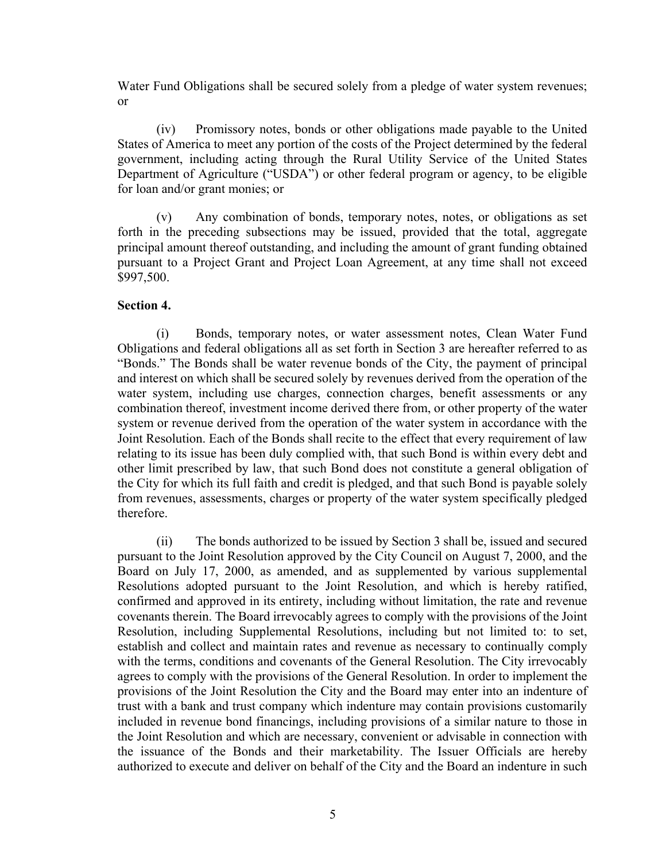Water Fund Obligations shall be secured solely from a pledge of water system revenues; or

(iv) Promissory notes, bonds or other obligations made payable to the United States of America to meet any portion of the costs of the Project determined by the federal government, including acting through the Rural Utility Service of the United States Department of Agriculture ("USDA") or other federal program or agency, to be eligible for loan and/or grant monies; or

(v) Any combination of bonds, temporary notes, notes, or obligations as set forth in the preceding subsections may be issued, provided that the total, aggregate principal amount thereof outstanding, and including the amount of grant funding obtained pursuant to a Project Grant and Project Loan Agreement, at any time shall not exceed \$997,500.

## **Section 4.**

(i) Bonds, temporary notes, or water assessment notes, Clean Water Fund Obligations and federal obligations all as set forth in Section 3 are hereafter referred to as "Bonds." The Bonds shall be water revenue bonds of the City, the payment of principal and interest on which shall be secured solely by revenues derived from the operation of the water system, including use charges, connection charges, benefit assessments or any combination thereof, investment income derived there from, or other property of the water system or revenue derived from the operation of the water system in accordance with the Joint Resolution. Each of the Bonds shall recite to the effect that every requirement of law relating to its issue has been duly complied with, that such Bond is within every debt and other limit prescribed by law, that such Bond does not constitute a general obligation of the City for which its full faith and credit is pledged, and that such Bond is payable solely from revenues, assessments, charges or property of the water system specifically pledged therefore.

(ii) The bonds authorized to be issued by Section 3 shall be, issued and secured pursuant to the Joint Resolution approved by the City Council on August 7, 2000, and the Board on July 17, 2000, as amended, and as supplemented by various supplemental Resolutions adopted pursuant to the Joint Resolution, and which is hereby ratified, confirmed and approved in its entirety, including without limitation, the rate and revenue covenants therein. The Board irrevocably agrees to comply with the provisions of the Joint Resolution, including Supplemental Resolutions, including but not limited to: to set, establish and collect and maintain rates and revenue as necessary to continually comply with the terms, conditions and covenants of the General Resolution. The City irrevocably agrees to comply with the provisions of the General Resolution. In order to implement the provisions of the Joint Resolution the City and the Board may enter into an indenture of trust with a bank and trust company which indenture may contain provisions customarily included in revenue bond financings, including provisions of a similar nature to those in the Joint Resolution and which are necessary, convenient or advisable in connection with the issuance of the Bonds and their marketability. The Issuer Officials are hereby authorized to execute and deliver on behalf of the City and the Board an indenture in such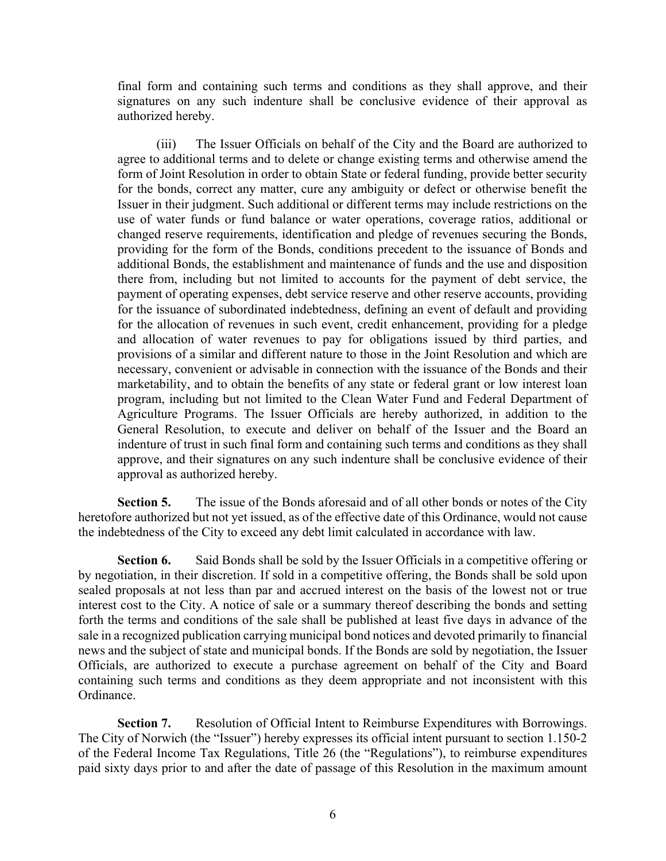final form and containing such terms and conditions as they shall approve, and their signatures on any such indenture shall be conclusive evidence of their approval as authorized hereby.

(iii) The Issuer Officials on behalf of the City and the Board are authorized to agree to additional terms and to delete or change existing terms and otherwise amend the form of Joint Resolution in order to obtain State or federal funding, provide better security for the bonds, correct any matter, cure any ambiguity or defect or otherwise benefit the Issuer in their judgment. Such additional or different terms may include restrictions on the use of water funds or fund balance or water operations, coverage ratios, additional or changed reserve requirements, identification and pledge of revenues securing the Bonds, providing for the form of the Bonds, conditions precedent to the issuance of Bonds and additional Bonds, the establishment and maintenance of funds and the use and disposition there from, including but not limited to accounts for the payment of debt service, the payment of operating expenses, debt service reserve and other reserve accounts, providing for the issuance of subordinated indebtedness, defining an event of default and providing for the allocation of revenues in such event, credit enhancement, providing for a pledge and allocation of water revenues to pay for obligations issued by third parties, and provisions of a similar and different nature to those in the Joint Resolution and which are necessary, convenient or advisable in connection with the issuance of the Bonds and their marketability, and to obtain the benefits of any state or federal grant or low interest loan program, including but not limited to the Clean Water Fund and Federal Department of Agriculture Programs. The Issuer Officials are hereby authorized, in addition to the General Resolution, to execute and deliver on behalf of the Issuer and the Board an indenture of trust in such final form and containing such terms and conditions as they shall approve, and their signatures on any such indenture shall be conclusive evidence of their approval as authorized hereby.

**Section 5.** The issue of the Bonds aforesaid and of all other bonds or notes of the City heretofore authorized but not yet issued, as of the effective date of this Ordinance, would not cause the indebtedness of the City to exceed any debt limit calculated in accordance with law.

**Section 6.** Said Bonds shall be sold by the Issuer Officials in a competitive offering or by negotiation, in their discretion. If sold in a competitive offering, the Bonds shall be sold upon sealed proposals at not less than par and accrued interest on the basis of the lowest not or true interest cost to the City. A notice of sale or a summary thereof describing the bonds and setting forth the terms and conditions of the sale shall be published at least five days in advance of the sale in a recognized publication carrying municipal bond notices and devoted primarily to financial news and the subject of state and municipal bonds. If the Bonds are sold by negotiation, the Issuer Officials, are authorized to execute a purchase agreement on behalf of the City and Board containing such terms and conditions as they deem appropriate and not inconsistent with this Ordinance.

**Section 7.** Resolution of Official Intent to Reimburse Expenditures with Borrowings. The City of Norwich (the "Issuer") hereby expresses its official intent pursuant to section 1.150-2 of the Federal Income Tax Regulations, Title 26 (the "Regulations"), to reimburse expenditures paid sixty days prior to and after the date of passage of this Resolution in the maximum amount